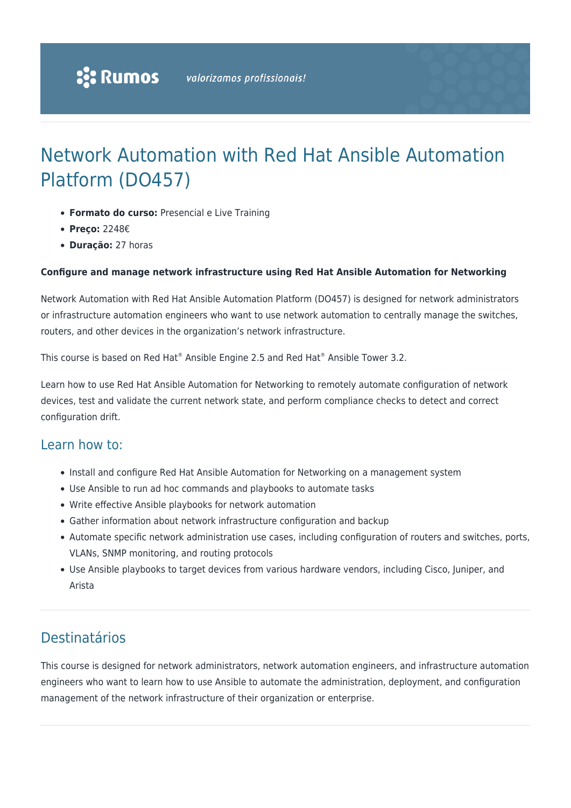# Network Automation with Red Hat Ansible Automation Platform (DO457)

- **Formato do curso:** Presencial e Live Training
- **Preço:** 2248€
- **Duração:** 27 horas

### **Configure and manage network infrastructure using Red Hat Ansible Automation for Networking**

Network Automation with Red Hat Ansible Automation Platform (DO457) is designed for network administrators or infrastructure automation engineers who want to use network automation to centrally manage the switches, routers, and other devices in the organization's network infrastructure.

This course is based on Red Hat® Ansible Engine 2.5 and Red Hat® Ansible Tower 3.2.

Learn how to use Red Hat Ansible Automation for Networking to remotely automate configuration of network devices, test and validate the current network state, and perform compliance checks to detect and correct configuration drift.

### Learn how to:

- Install and configure Red Hat Ansible Automation for Networking on a management system
- Use Ansible to run ad hoc commands and playbooks to automate tasks
- Write effective Ansible playbooks for network automation
- Gather information about network infrastructure configuration and backup
- Automate specific network administration use cases, including configuration of routers and switches, ports, VLANs, SNMP monitoring, and routing protocols
- Use Ansible playbooks to target devices from various hardware vendors, including Cisco, Juniper, and Arista

# Destinatários

This course is designed for network administrators, network automation engineers, and infrastructure automation engineers who want to learn how to use Ansible to automate the administration, deployment, and configuration management of the network infrastructure of their organization or enterprise.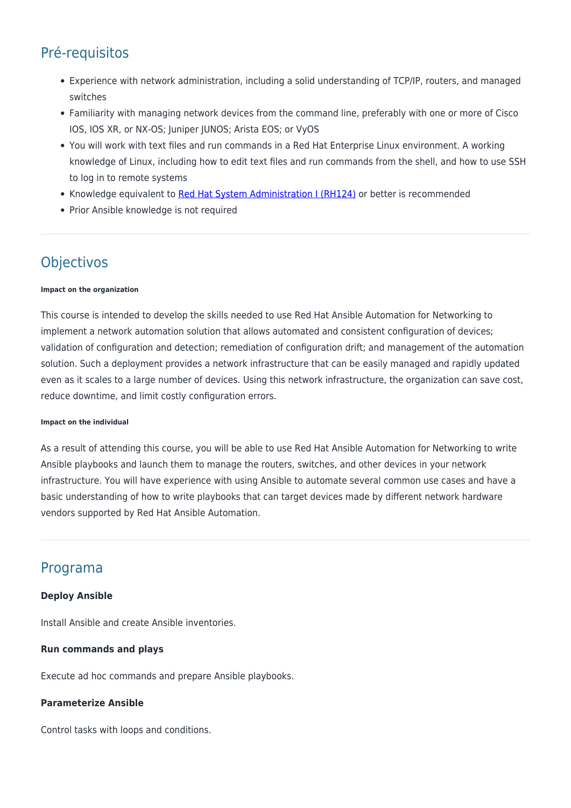# Pré-requisitos

- Experience with network administration, including a solid understanding of TCP/IP, routers, and managed switches
- Familiarity with managing network devices from the command line, preferably with one or more of Cisco IOS, IOS XR, or NX-OS; Juniper JUNOS; Arista EOS; or VyOS
- You will work with text files and run commands in a Red Hat Enterprise Linux environment. A working knowledge of Linux, including how to edit text files and run commands from the shell, and how to use SSH to log in to remote systems
- Knowledge equivalent to [Red Hat System Administration I \(RH124\)](https://rumos.pt/curso/red-hat-system-administration-i-rh124-presencial-com-live-training/) or better is recommended
- Prior Ansible knowledge is not required

# **Objectivos**

#### **Impact on the organization**

This course is intended to develop the skills needed to use Red Hat Ansible Automation for Networking to implement a network automation solution that allows automated and consistent configuration of devices; validation of configuration and detection; remediation of configuration drift; and management of the automation solution. Such a deployment provides a network infrastructure that can be easily managed and rapidly updated even as it scales to a large number of devices. Using this network infrastructure, the organization can save cost, reduce downtime, and limit costly configuration errors.

#### **Impact on the individual**

As a result of attending this course, you will be able to use Red Hat Ansible Automation for Networking to write Ansible playbooks and launch them to manage the routers, switches, and other devices in your network infrastructure. You will have experience with using Ansible to automate several common use cases and have a basic understanding of how to write playbooks that can target devices made by different network hardware vendors supported by Red Hat Ansible Automation.

### Programa

### **Deploy Ansible**

Install Ansible and create Ansible inventories.

### **Run commands and plays**

Execute ad hoc commands and prepare Ansible playbooks.

### **Parameterize Ansible**

Control tasks with loops and conditions.